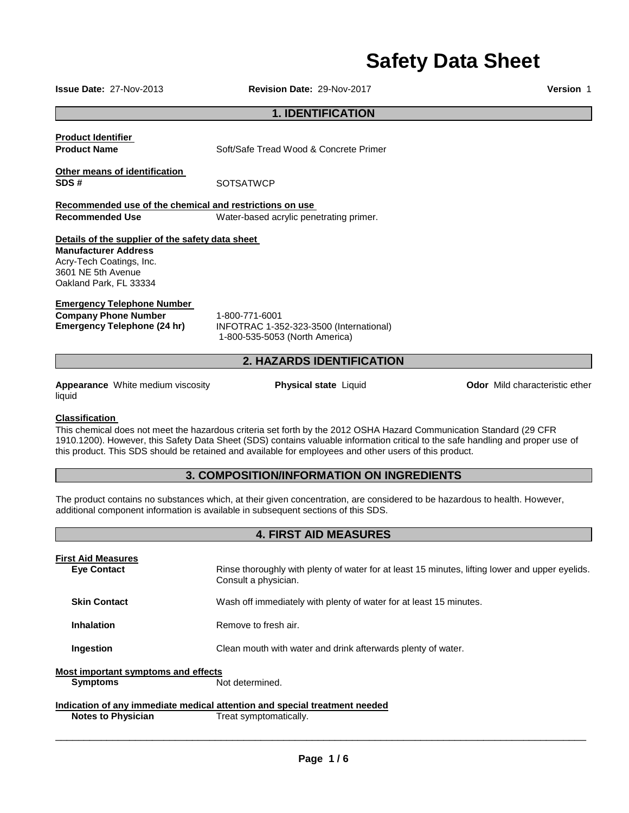# **Safety Data Sheet**

**Issue Date:** 27-Nov-2013 **Revision Date:** 29-Nov-2017 **Version** 1

## **1. IDENTIFICATION**

**Product Identifier** 

**Product Name Soft/Safe Tread Wood & Concrete Primer** 

**Other means of identification SDS #** SOTSATWCP

**Recommended use of the chemical and restrictions on use** 

**Recommended Use Water-based acrylic penetrating primer.** 

## **Details of the supplier of the safety data sheet**

**Manufacturer Address** Acry-Tech Coatings, Inc. 3601 NE 5th Avenue Oakland Park, FL 33334

## **Emergency Telephone Number**

**Company Phone Number** 1-800-771-6001

**Emergency Telephone (24 hr)** INFOTRAC 1-352-323-3500 (International) 1-800-535-5053 (North America)

## **2. HAZARDS IDENTIFICATION**

**Appearance** White medium viscosity liquid

**Physical state** Liquid **Department Constrainers Odor** Mild characteristic ether

## **Classification**

This chemical does not meet the hazardous criteria set forth by the 2012 OSHA Hazard Communication Standard (29 CFR 1910.1200). However, this Safety Data Sheet (SDS) contains valuable information critical to the safe handling and proper use of this product. This SDS should be retained and available for employees and other users of this product.

## **3. COMPOSITION/INFORMATION ON INGREDIENTS**

**4. FIRST AID MEASURES** 

The product contains no substances which, at their given concentration, are considered to be hazardous to health. However, additional component information is available in subsequent sections of this SDS.

|                                                               | 4. FINST AID MEASUNES                                                                                                   |
|---------------------------------------------------------------|-------------------------------------------------------------------------------------------------------------------------|
| <b>First Aid Measures</b><br><b>Eye Contact</b>               | Rinse thoroughly with plenty of water for at least 15 minutes, lifting lower and upper eyelids.<br>Consult a physician. |
| <b>Skin Contact</b>                                           | Wash off immediately with plenty of water for at least 15 minutes.                                                      |
| <b>Inhalation</b>                                             | Remove to fresh air.                                                                                                    |
| Ingestion                                                     | Clean mouth with water and drink afterwards plenty of water.                                                            |
| <b>Most important symptoms and effects</b><br><b>Symptoms</b> | Not determined.                                                                                                         |
| <b>Notes to Physician</b>                                     | Indication of any immediate medical attention and special treatment needed<br>Treat symptomatically.                    |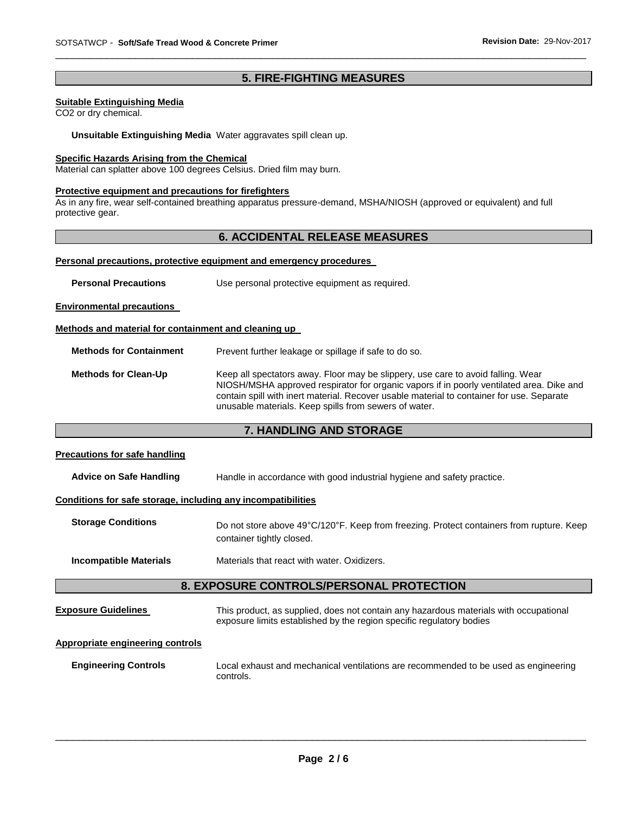## **5. FIRE-FIGHTING MEASURES**

\_\_\_\_\_\_\_\_\_\_\_\_\_\_\_\_\_\_\_\_\_\_\_\_\_\_\_\_\_\_\_\_\_\_\_\_\_\_\_\_\_\_\_\_\_\_\_\_\_\_\_\_\_\_\_\_\_\_\_\_\_\_\_\_\_\_\_\_\_\_\_\_\_\_\_\_\_\_\_\_\_\_\_\_\_\_\_\_\_\_\_\_\_

## **Suitable Extinguishing Media**

CO2 or dry chemical.

**Unsuitable Extinguishing Media** Water aggravates spill clean up.

#### **Specific Hazards Arising from the Chemical**

Material can splatter above 100 degrees Celsius. Dried film may burn.

#### **Protective equipment and precautions for firefighters**

As in any fire, wear self-contained breathing apparatus pressure-demand, MSHA/NIOSH (approved or equivalent) and full protective gear.

## **6. ACCIDENTAL RELEASE MEASURES**

#### **Personal precautions, protective equipment and emergency procedures**

**Personal Precautions Use personal protective equipment as required.** 

**Environmental precautions** 

## **Methods and material for containment and cleaning up**

**Methods for Containment** Prevent further leakage or spillage if safe to do so.

**Methods for Clean-Up** Keep all spectators away. Floor may be slippery, use care to avoid falling. Wear NIOSH/MSHA approved respirator for organic vapors if in poorly ventilated area. Dike and contain spill with inert material. Recover usable material to container for use. Separate unusable materials. Keep spills from sewers of water.

## **7. HANDLING AND STORAGE**

## **Precautions for safe handling**

**Advice on Safe Handling** Handle in accordance with good industrial hygiene and safety practice.

#### **Conditions for safe storage, including any incompatibilities**

| <b>Storage Conditions</b> | Do not store above 49°C/120°F. Keep from freezing. Protect containers from rupture. Keep |
|---------------------------|------------------------------------------------------------------------------------------|
|                           | container tightly closed.                                                                |

**Incompatible Materials** Materials that react with water. Oxidizers.

## **8. EXPOSURE CONTROLS/PERSONAL PROTECTION**

**Exposure Guidelines** This product, as supplied, does not contain any hazardous materials with occupational exposure limits established by the region specific regulatory bodies

## **Appropriate engineering controls**

**Engineering Controls** Local exhaust and mechanical ventilations are recommended to be used as engineering controls.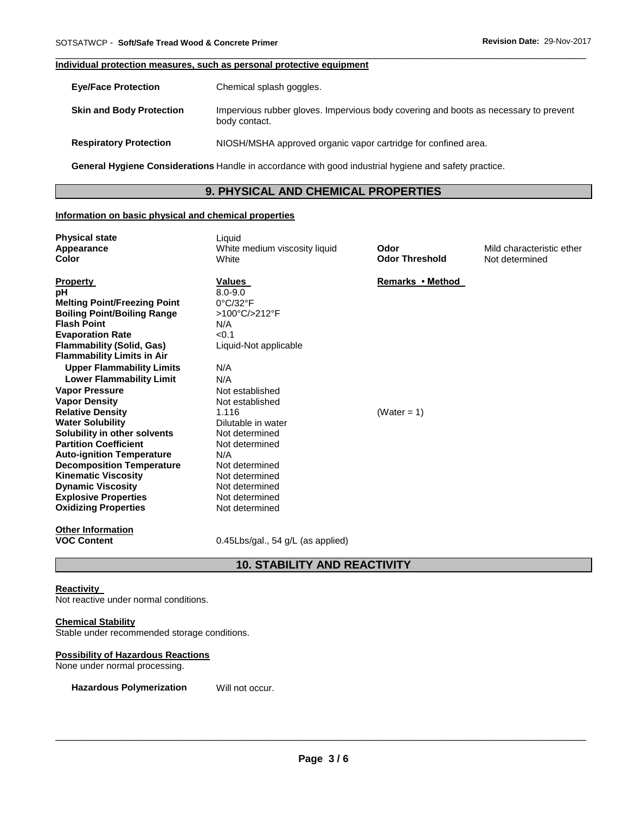## **Individual protection measures, such as personal protective equipment**

| <b>Eye/Face Protection</b>      | Chemical splash goggles.                                                                              |
|---------------------------------|-------------------------------------------------------------------------------------------------------|
| <b>Skin and Body Protection</b> | Impervious rubber gloves. Impervious body covering and boots as necessary to prevent<br>body contact. |
| <b>Respiratory Protection</b>   | NIOSH/MSHA approved organic vapor cartridge for confined area.                                        |

\_\_\_\_\_\_\_\_\_\_\_\_\_\_\_\_\_\_\_\_\_\_\_\_\_\_\_\_\_\_\_\_\_\_\_\_\_\_\_\_\_\_\_\_\_\_\_\_\_\_\_\_\_\_\_\_\_\_\_\_\_\_\_\_\_\_\_\_\_\_\_\_\_\_\_\_\_\_\_\_\_\_\_\_\_\_\_\_\_\_\_\_\_

**General Hygiene Considerations** Handle in accordance with good industrial hygiene and safety practice.

# **9. PHYSICAL AND CHEMICAL PROPERTIES**

## **Information on basic physical and chemical properties**

| <b>Physical state</b><br>Appearance<br>Color                                                                                                                                                                                                                                                                                                                                                                                                                                                                                                                                                                                                                               | Liquid<br>White medium viscosity liquid<br>White                                                                                                                                                                                                                                                                                         | Odor<br><b>Odor Threshold</b>      | Mild characteristic ether<br>Not determined |
|----------------------------------------------------------------------------------------------------------------------------------------------------------------------------------------------------------------------------------------------------------------------------------------------------------------------------------------------------------------------------------------------------------------------------------------------------------------------------------------------------------------------------------------------------------------------------------------------------------------------------------------------------------------------------|------------------------------------------------------------------------------------------------------------------------------------------------------------------------------------------------------------------------------------------------------------------------------------------------------------------------------------------|------------------------------------|---------------------------------------------|
| <b>Property</b><br>pН<br><b>Melting Point/Freezing Point</b><br><b>Boiling Point/Boiling Range</b><br><b>Flash Point</b><br><b>Evaporation Rate</b><br><b>Flammability (Solid, Gas)</b><br><b>Flammability Limits in Air</b><br><b>Upper Flammability Limits</b><br><b>Lower Flammability Limit</b><br><b>Vapor Pressure</b><br><b>Vapor Density</b><br><b>Relative Density</b><br><b>Water Solubility</b><br>Solubility in other solvents<br><b>Partition Coefficient</b><br><b>Auto-ignition Temperature</b><br><b>Decomposition Temperature</b><br><b>Kinematic Viscosity</b><br><b>Dynamic Viscosity</b><br><b>Explosive Properties</b><br><b>Oxidizing Properties</b> | Values<br>$8.0 - 9.0$<br>$0^{\circ}$ C/32 $^{\circ}$ F<br>>100°C/>212°F<br>N/A<br>< 0.1<br>Liquid-Not applicable<br>N/A<br>N/A<br>Not established<br>Not established<br>1.116<br>Dilutable in water<br>Not determined<br>Not determined<br>N/A<br>Not determined<br>Not determined<br>Not determined<br>Not determined<br>Not determined | Remarks • Method<br>(Water = $1$ ) |                                             |
| <b>Other Information</b><br><b>VOC Content</b>                                                                                                                                                                                                                                                                                                                                                                                                                                                                                                                                                                                                                             | $0.45Lbs/gal., 54 g/L$ (as applied)                                                                                                                                                                                                                                                                                                      |                                    |                                             |

# **10. STABILITY AND REACTIVITY**

## **Reactivity**

Not reactive under normal conditions.

## **Chemical Stability**

Stable under recommended storage conditions.

## **Possibility of Hazardous Reactions**

None under normal processing.

**Hazardous Polymerization** Will not occur.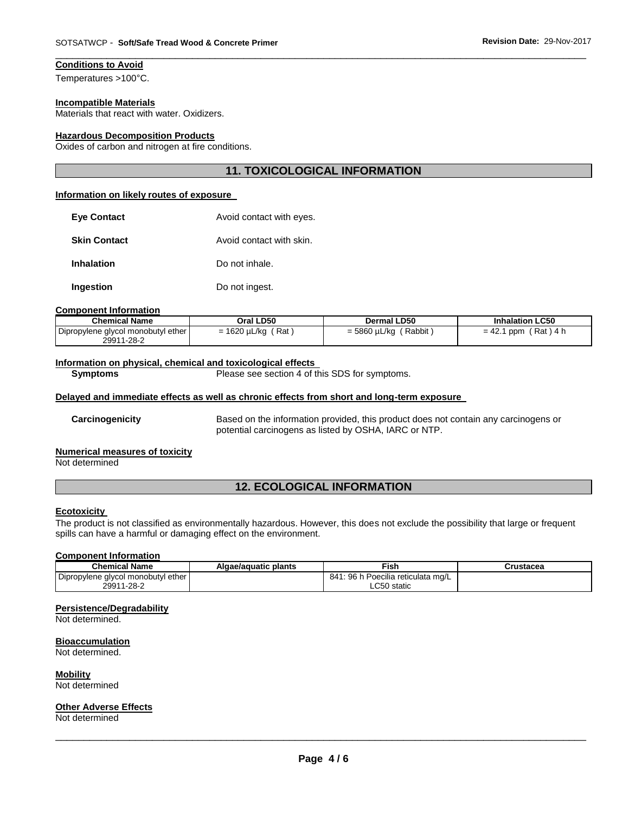# **Conditions to Avoid**

Temperatures >100°C.

#### **Incompatible Materials**

Materials that react with water. Oxidizers.

## **Hazardous Decomposition Products**

Oxides of carbon and nitrogen at fire conditions.

## **11. TOXICOLOGICAL INFORMATION**

\_\_\_\_\_\_\_\_\_\_\_\_\_\_\_\_\_\_\_\_\_\_\_\_\_\_\_\_\_\_\_\_\_\_\_\_\_\_\_\_\_\_\_\_\_\_\_\_\_\_\_\_\_\_\_\_\_\_\_\_\_\_\_\_\_\_\_\_\_\_\_\_\_\_\_\_\_\_\_\_\_\_\_\_\_\_\_\_\_\_\_\_\_

#### **Information on likely routes of exposure**

| <b>Eve Contact</b>  | Avoid contact with eyes. |
|---------------------|--------------------------|
| <b>Skin Contact</b> | Avoid contact with skin. |
| <b>Inhalation</b>   | Do not inhale.           |
| Ingestion           | Do not ingest.           |

#### **Component Information**

| <b>Chemical Name</b>                             | Oral LD50             | <b>Dermal LD50</b>     | <b>Inhalation LC50</b>         |
|--------------------------------------------------|-----------------------|------------------------|--------------------------------|
| Dipropylene glycol monobutyl ether<br>29911-28-2 | : Rat<br>= 1620 µL/kg | Rabbit<br>= 5860 µL/kg | Rat ) 4 h<br>$= 42.1$<br>' ppm |

#### **Information on physical, chemical and toxicological effects**

**Symptoms** Please see section 4 of this SDS for symptoms.

## **Delayed and immediate effects as well as chronic effects from short and long-term exposure**

**Carcinogenicity** Based on the information provided, this product does not contain any carcinogens or potential carcinogens as listed by OSHA, IARC or NTP.

## **Numerical measures of toxicity**

Not determined

# **12. ECOLOGICAL INFORMATION**

#### **Ecotoxicity**

The product is not classified as environmentally hazardous. However, this does not exclude the possibility that large or frequent spills can have a harmful or damaging effect on the environment.

## **Component Information**

| <b>Chemical Name</b>               | Algae/aguatic plants | Fish                                     | Crustacea |
|------------------------------------|----------------------|------------------------------------------|-----------|
| Dipropylene glycol monobutyl ether |                      | 1: 96 h Poecilia reticulata mg/L<br>841: |           |
| 29911-28-2                         |                      | ∟C50 static                              |           |

#### **Persistence/Degradability**

Not determined.

#### **Bioaccumulation**

Not determined.

#### **Mobility**

Not determined

#### **Other Adverse Effects**

Not determined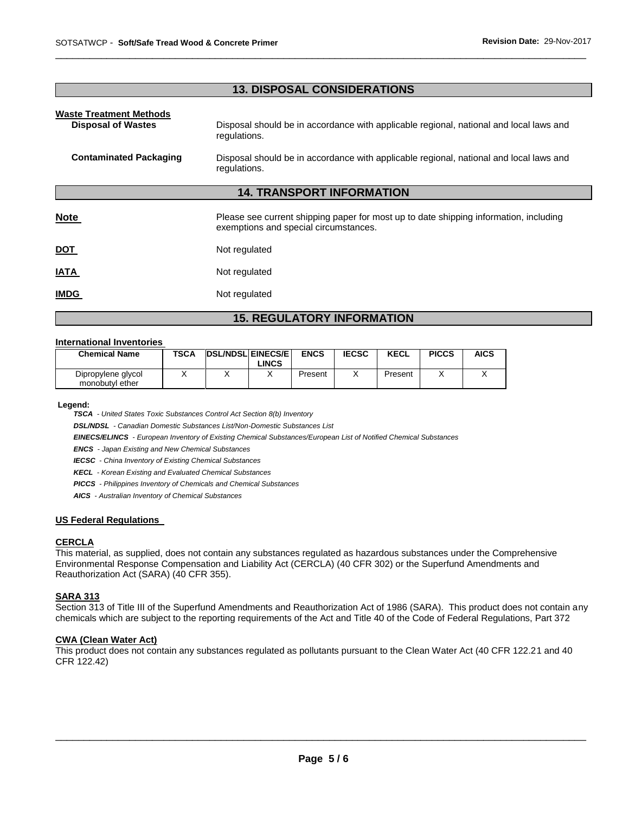# **13. DISPOSAL CONSIDERATIONS**

\_\_\_\_\_\_\_\_\_\_\_\_\_\_\_\_\_\_\_\_\_\_\_\_\_\_\_\_\_\_\_\_\_\_\_\_\_\_\_\_\_\_\_\_\_\_\_\_\_\_\_\_\_\_\_\_\_\_\_\_\_\_\_\_\_\_\_\_\_\_\_\_\_\_\_\_\_\_\_\_\_\_\_\_\_\_\_\_\_\_\_\_\_

| <b>Waste Treatment Methods</b><br><b>Disposal of Wastes</b> | Disposal should be in accordance with applicable regional, national and local laws and<br>regulations.                         |  |  |  |  |
|-------------------------------------------------------------|--------------------------------------------------------------------------------------------------------------------------------|--|--|--|--|
| <b>Contaminated Packaging</b>                               | Disposal should be in accordance with applicable regional, national and local laws and<br>regulations.                         |  |  |  |  |
| <b>14. TRANSPORT INFORMATION</b>                            |                                                                                                                                |  |  |  |  |
| <b>Note</b>                                                 | Please see current shipping paper for most up to date shipping information, including<br>exemptions and special circumstances. |  |  |  |  |
| <u>DOT</u>                                                  | Not regulated                                                                                                                  |  |  |  |  |
| <b>IATA</b>                                                 | Not regulated                                                                                                                  |  |  |  |  |
| <b>IMDG</b>                                                 | Not regulated                                                                                                                  |  |  |  |  |

# **15. REGULATORY INFORMATION**

## **International Inventories**

| <b>Chemical Name</b>                  | <b>TSCA</b> | <b>DSL/NDSL EINECS/E</b> | _INCS | <b>ENCS</b> | <b>IECSC</b> | <b>KECL</b> | <b>PICCS</b> | <b>AICS</b> |
|---------------------------------------|-------------|--------------------------|-------|-------------|--------------|-------------|--------------|-------------|
| Dipropylene glycol<br>monobutyl ether |             |                          |       | Present     |              | Present     |              |             |

**Legend:** 

*TSCA - United States Toxic Substances Control Act Section 8(b) Inventory* 

*DSL/NDSL - Canadian Domestic Substances List/Non-Domestic Substances List* 

*EINECS/ELINCS - European Inventory of Existing Chemical Substances/European List of Notified Chemical Substances* 

*ENCS - Japan Existing and New Chemical Substances* 

*IECSC - China Inventory of Existing Chemical Substances* 

*KECL - Korean Existing and Evaluated Chemical Substances* 

*PICCS - Philippines Inventory of Chemicals and Chemical Substances* 

*AICS - Australian Inventory of Chemical Substances* 

## **US Federal Regulations**

#### **CERCLA**

This material, as supplied, does not contain any substances regulated as hazardous substances under the Comprehensive Environmental Response Compensation and Liability Act (CERCLA) (40 CFR 302) or the Superfund Amendments and Reauthorization Act (SARA) (40 CFR 355).

## **SARA 313**

Section 313 of Title III of the Superfund Amendments and Reauthorization Act of 1986 (SARA). This product does not contain any chemicals which are subject to the reporting requirements of the Act and Title 40 of the Code of Federal Regulations, Part 372

## **CWA (Clean Water Act)**

This product does not contain any substances regulated as pollutants pursuant to the Clean Water Act (40 CFR 122.21 and 40 CFR 122.42)